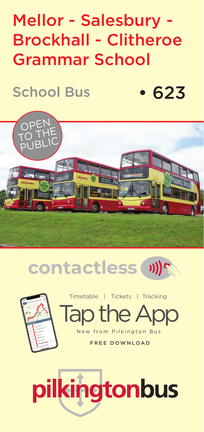## Mellor - Salesbury - Brockhall - Clitheroe Grammar School

School Bus

• 623







New from Pilkington Bus<br>FREE DOWNLOAD Timetable | Tickets | Tracking

New from Pilkington Bus FREE DOWNLOAD